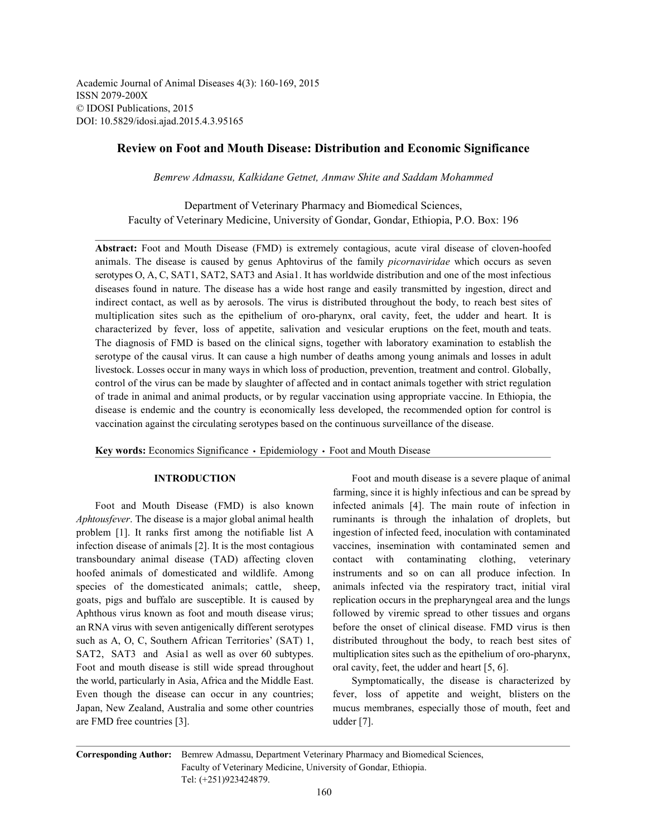Academic Journal of Animal Diseases 4(3): 160-169, 2015 ISSN 2079-200X © IDOSI Publications, 2015 DOI: 10.5829/idosi.ajad.2015.4.3.95165

# **Review on Foot and Mouth Disease: Distribution and Economic Significance**

*Bemrew Admassu, Kalkidane Getnet, Anmaw Shite and Saddam Mohammed*

Department of Veterinary Pharmacy and Biomedical Sciences, Faculty of Veterinary Medicine, University of Gondar, Gondar, Ethiopia, P.O. Box: 196

**Abstract:** Foot and Mouth Disease (FMD) is extremely contagious, acute viral disease of cloven-hoofed animals. The disease is caused by genus Aphtovirus of the family *picornaviridae* which occurs as seven serotypes O, A, C, SAT1, SAT2, SAT3 and Asia1. It has worldwide distribution and one of the most infectious diseases found in nature. The disease has a wide host range and easily transmitted by ingestion, direct and indirect contact, as well as by aerosols. The virus is distributed throughout the body, to reach best sites of multiplication sites such as the epithelium of oro-pharynx, oral cavity, feet, the udder and heart. It is characterized by fever, loss of appetite, salivation and vesicular eruptions on the feet, mouth and teats. The diagnosis of FMD is based on the clinical signs, together with laboratory examination to establish the serotype of the causal virus. It can cause a high number of deaths among young animals and losses in adult livestock. Losses occur in many ways in which loss of production, prevention, treatment and control. Globally, control of the virus can be made by slaughter of affected and in contact animals together with strict regulation of trade in animal and animal products, or by regular vaccination using appropriate vaccine. In Ethiopia, the disease is endemic and the country is economically less developed, the recommended option for control is vaccination against the circulating serotypes based on the continuous surveillance of the disease.

Key words: Economics Significance · Epidemiology · Foot and Mouth Disease

*Aphtousfever*. The disease is a major global animal health ruminants is through the inhalation of droplets, but problem [1]. It ranks first among the notifiable list A ingestion of infected feed, inoculation with contaminated infection disease of animals [2]. It is the most contagious vaccines, insemination with contaminated semen and transboundary animal disease (TAD) affecting cloven contact with contaminating clothing, veterinary hoofed animals of domesticated and wildlife. Among instruments and so on can all produce infection. In species of the domesticated animals; cattle, sheep, animals infected via the respiratory tract, initial viral goats, pigs and buffalo are susceptible. It is caused by replication occurs in the prepharyngeal area and the lungs Aphthous virus known as foot and mouth disease virus; followed by viremic spread to other tissues and organs an RNA virus with seven antigenically different serotypes before the onset of clinical disease. FMD virus is then such as A, O, C, Southern African Territories' (SAT) 1, distributed throughout the body, to reach best sites of SAT2, SAT3 and Asia1 as well as over 60 subtypes. multiplication sites such as the epithelium of oro-pharynx, Foot and mouth disease is still wide spread throughout oral cavity, feet, the udder and heart [5, 6]. the world, particularly in Asia, Africa and the Middle East. Symptomatically, the disease is characterized by Even though the disease can occur in any countries; fever, loss of appetite and weight, blisters on the Japan, New Zealand, Australia and some other countries mucus membranes, especially those of mouth, feet and are FMD free countries [3]. udder [7].

**INTRODUCTION** Foot and mouth disease is a severe plaque of animal Foot and Mouth Disease (FMD) is also known infected animals [4]. The main route of infection in farming, since it is highly infectious and can be spread by

**Corresponding Author:** Bemrew Admassu, Department Veterinary Pharmacy and Biomedical Sciences, Faculty of Veterinary Medicine, University of Gondar, Ethiopia. Tel: (+251)923424879.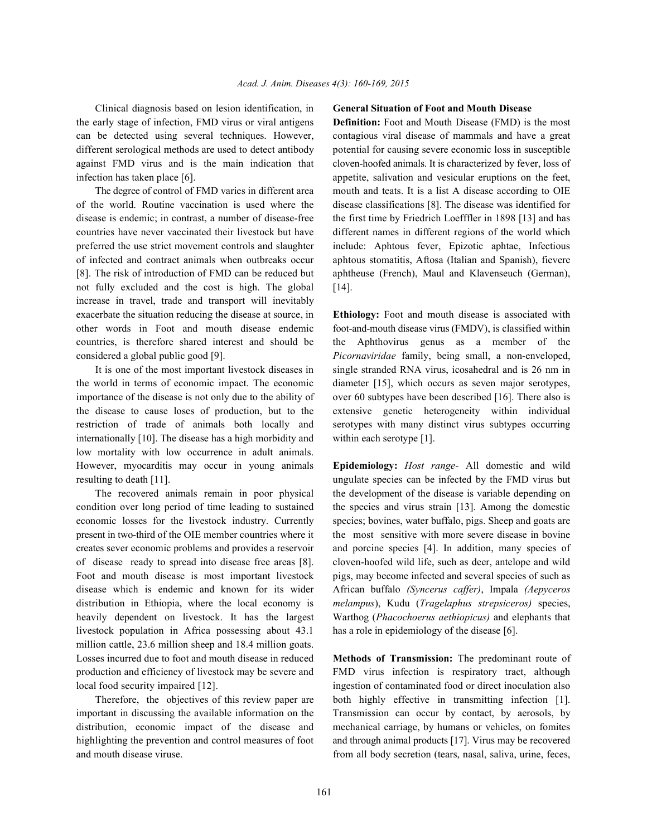Clinical diagnosis based on lesion identification, in **General Situation of Foot and Mouth Disease** the early stage of infection, FMD virus or viral antigens **Definition:** Foot and Mouth Disease (FMD) is the most can be detected using several techniques. However, contagious viral disease of mammals and have a great different serological methods are used to detect antibody potential for causing severe economic loss in susceptible against FMD virus and is the main indication that cloven-hoofed animals. It is characterized by fever, loss of infection has taken place [6].  $\qquad \qquad \text{appetite, salivation and vesicular eruptions on the feet,}$ 

of the world. Routine vaccination is used where the disease classifications [8]. The disease was identified for disease is endemic; in contrast, a number of disease-free the first time by Friedrich Loefffler in 1898 [13] and has countries have never vaccinated their livestock but have different names in different regions of the world which preferred the use strict movement controls and slaughter include: Aphtous fever, Epizotic aphtae, Infectious of infected and contract animals when outbreaks occur aphtous stomatitis, Aftosa (Italian and Spanish), fievere [8]. The risk of introduction of FMD can be reduced but aphtheuse (French), Maul and Klavenseuch (German), not fully excluded and the cost is high. The global [14]. increase in travel, trade and transport will inevitably exacerbate the situation reducing the disease at source, in **Ethiology:** Foot and mouth disease is associated with other words in Foot and mouth disease endemic foot-and-mouth disease virus (FMDV), is classified within countries, is therefore shared interest and should be the Aphthovirus genus as a member of the considered a global public good [9]. *Picornaviridae* family, being small, a non-enveloped,

the world in terms of economic impact. The economic diameter [15], which occurs as seven major serotypes, importance of the disease is not only due to the ability of over 60 subtypes have been described [16]. There also is the disease to cause loses of production, but to the extensive genetic heterogeneity within individual restriction of trade of animals both locally and serotypes with many distinct virus subtypes occurring internationally [10]. The disease has a high morbidity and within each serotype [1]. low mortality with low occurrence in adult animals. However, myocarditis may occur in young animals **Epidemiology:** *Host range-* All domestic and wild resulting to death [11]. ungulate species can be infected by the FMD virus but

condition over long period of time leading to sustained the species and virus strain [13]. Among the domestic economic losses for the livestock industry. Currently species; bovines, water buffalo, pigs. Sheep and goats are present in two-third of the OIE member countries where it the most sensitive with more severe disease in bovine creates sever economic problems and provides a reservoir and porcine species [4]. In addition, many species of of disease ready to spread into disease free areas [8]. cloven-hoofed wild life, such as deer, antelope and wild Foot and mouth disease is most important livestock pigs, may become infected and several species of such as disease which is endemic and known for its wider African buffalo *(Syncerus caffer)*, Impala *(Aepyceros* distribution in Ethiopia, where the local economy is *melampus*), Kudu (*Tragelaphus strepsiceros)* species, heavily dependent on livestock. It has the largest Warthog (*Phacochoerus aethiopicus)* and elephants that livestock population in Africa possessing about 43.1 has a role in epidemiology of the disease [6]. million cattle, 23.6 million sheep and 18.4 million goats. Losses incurred due to foot and mouth disease in reduced **Methods of Transmission:** The predominant route of production and efficiency of livestock may be severe and FMD virus infection is respiratory tract, although local food security impaired [12]. ingestion of contaminated food or direct inoculation also

important in discussing the available information on the Transmission can occur by contact, by aerosols, by distribution, economic impact of the disease and mechanical carriage, by humans or vehicles, on fomites highlighting the prevention and control measures of foot and through animal products [17]. Virus may be recovered and mouth disease viruse. from all body secretion (tears, nasal, saliva, urine, feces,

The degree of control of FMD varies in different area mouth and teats. It is a list A disease according to OIE

It is one of the most important livestock diseases in single stranded RNA virus, icosahedral and is 26 nm in

The recovered animals remain in poor physical the development of the disease is variable depending on

Therefore, the objectives of this review paper are both highly effective in transmitting infection [1].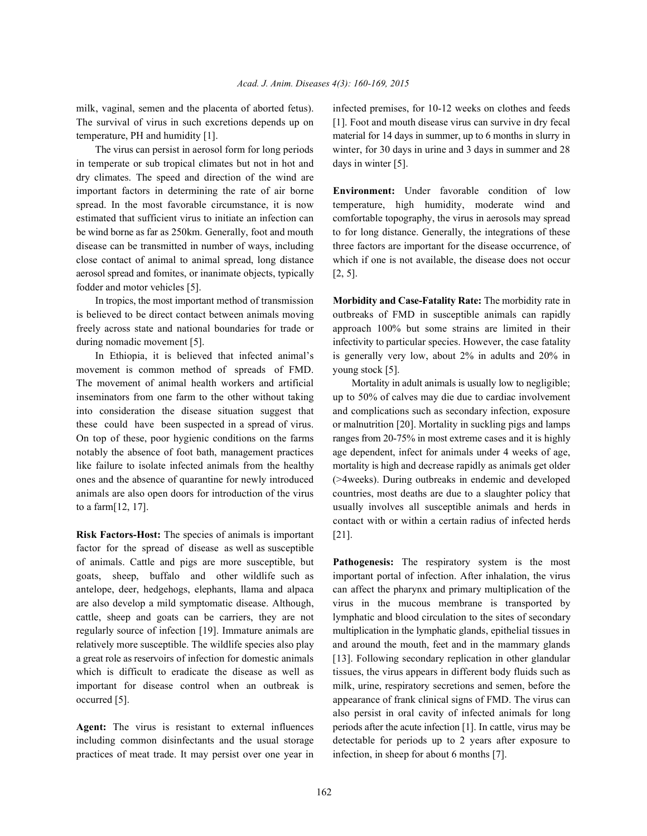milk, vaginal, semen and the placenta of aborted fetus). infected premises, for 10-12 weeks on clothes and feeds

in temperate or sub tropical climates but not in hot and days in winter  $[5]$ . dry climates. The speed and direction of the wind are important factors in determining the rate of air borne **Environment:** Under favorable condition of low spread. In the most favorable circumstance, it is now temperature, high humidity, moderate wind and estimated that sufficient virus to initiate an infection can comfortable topography, the virus in aerosols may spread be wind borne as far as 250km. Generally, foot and mouth to for long distance. Generally, the integrations of these disease can be transmitted in number of ways, including three factors are important for the disease occurrence, of close contact of animal to animal spread, long distance which if one is not available, the disease does not occur aerosol spread and fomites, or inanimate objects, typically [2, 5]. fodder and motor vehicles [5].

is believed to be direct contact between animals moving outbreaks of FMD in susceptible animals can rapidly freely across state and national boundaries for trade or approach 100% but some strains are limited in their during nomadic movement [5]. infectivity to particular species. However, the case fatality

movement is common method of spreads of FMD. young stock [5]. The movement of animal health workers and artificial Mortality in adult animals is usually low to negligible; inseminators from one farm to the other without taking up to 50% of calves may die due to cardiac involvement into consideration the disease situation suggest that and complications such as secondary infection, exposure these could have been suspected in a spread of virus. or malnutrition [20]. Mortality in suckling pigs and lamps On top of these, poor hygienic conditions on the farms ranges from 20-75% in most extreme cases and it is highly notably the absence of foot bath, management practices age dependent, infect for animals under 4 weeks of age, like failure to isolate infected animals from the healthy mortality is high and decrease rapidly as animals get older ones and the absence of quarantine for newly introduced (>4weeks). During outbreaks in endemic and developed animals are also open doors for introduction of the virus countries, most deaths are due to a slaughter policy that to a farm[12, 17]. usually involves all susceptible animals and herds in

**Risk Factors-Host:** The species of animals is important [21]. factor for the spread of disease as well as susceptible of animals. Cattle and pigs are more susceptible, but **Pathogenesis:** The respiratory system is the most goats, sheep, buffalo and other wildlife such as important portal of infection. After inhalation, the virus antelope, deer, hedgehogs, elephants, llama and alpaca can affect the pharynx and primary multiplication of the are also develop a mild symptomatic disease. Although, virus in the mucous membrane is transported by cattle, sheep and goats can be carriers, they are not lymphatic and blood circulation to the sites of secondary regularly source of infection [19]. Immature animals are multiplication in the lymphatic glands, epithelial tissues in relatively more susceptible. The wildlife species also play and around the mouth, feet and in the mammary glands a great role as reservoirs of infection for domestic animals [13]. Following secondary replication in other glandular which is difficult to eradicate the disease as well as tissues, the virus appears in different body fluids such as important for disease control when an outbreak is milk, urine, respiratory secretions and semen, before the occurred [5]. appearance of frank clinical signs of FMD. The virus can

including common disinfectants and the usual storage detectable for periods up to 2 years after exposure to practices of meat trade. It may persist over one year in infection, in sheep for about 6 months [7].

The survival of virus in such excretions depends up on [1]. Foot and mouth disease virus can survive in dry fecal temperature, PH and humidity [1]. material for 14 days in summer, up to 6 months in slurry in The virus can persist in aerosol form for long periods winter, for 30 days in urine and 3 days in summer and 28

In tropics, the most important method of transmission **Morbidity and Case-Fatality Rate:** The morbidity rate in In Ethiopia, it is believed that infected animal's is generally very low, about 2% in adults and 20% in

contact with or within a certain radius of infected herds

**Agent:** The virus is resistant to external influences periods after the acute infection [1]. In cattle, virus may be also persist in oral cavity of infected animals for long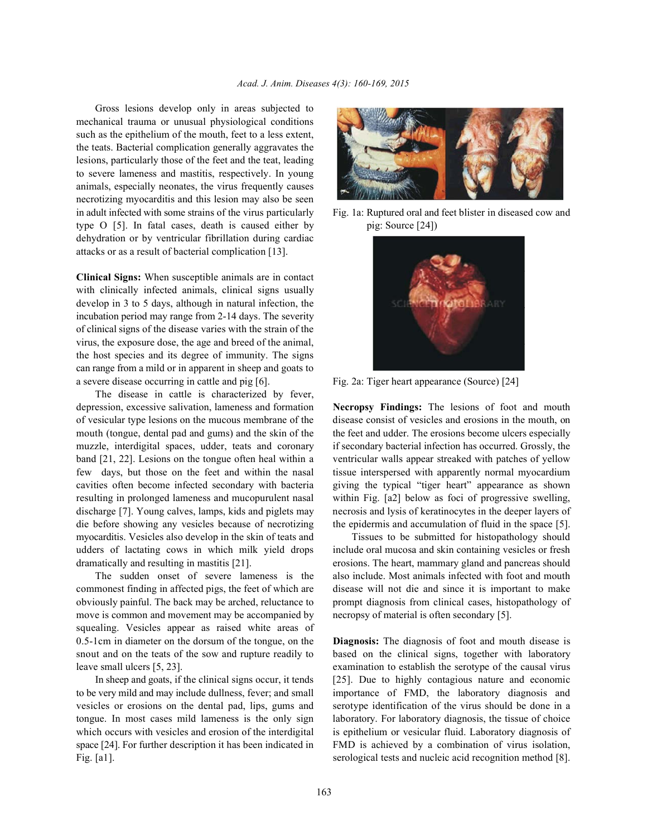Gross lesions develop only in areas subjected to mechanical trauma or unusual physiological conditions such as the epithelium of the mouth, feet to a less extent, the teats. Bacterial complication generally aggravates the lesions, particularly those of the feet and the teat, leading to severe lameness and mastitis, respectively. In young animals, especially neonates, the virus frequently causes necrotizing myocarditis and this lesion may also be seen in adult infected with some strains of the virus particularly Fig. 1a: Ruptured oral and feet blister in diseased cow and type  $O$  [5]. In fatal cases, death is caused either by pig: Source [24]) dehydration or by ventricular fibrillation during cardiac attacks or as a result of bacterial complication [13].

**Clinical Signs:** When susceptible animals are in contact with clinically infected animals, clinical signs usually develop in 3 to 5 days, although in natural infection, the incubation period may range from 2-14 days. The severity of clinical signs of the disease varies with the strain of the virus, the exposure dose, the age and breed of the animal, the host species and its degree of immunity. The signs can range from a mild or in apparent in sheep and goats to a severe disease occurring in cattle and pig [6]. Fig. 2a: Tiger heart appearance (Source) [24]

The disease in cattle is characterized by fever, depression, excessive salivation, lameness and formation **Necropsy Findings:** The lesions of foot and mouth of vesicular type lesions on the mucous membrane of the disease consist of vesicles and erosions in the mouth, on mouth (tongue, dental pad and gums) and the skin of the the feet and udder. The erosions become ulcers especially muzzle, interdigital spaces, udder, teats and coronary if secondary bacterial infection has occurred. Grossly, the band [21, 22]. Lesions on the tongue often heal within a ventricular walls appear streaked with patches of yellow few days, but those on the feet and within the nasal tissue interspersed with apparently normal myocardium cavities often become infected secondary with bacteria giving the typical "tiger heart" appearance as shown resulting in prolonged lameness and mucopurulent nasal within Fig. [a2] below as foci of progressive swelling, discharge [7]. Young calves, lamps, kids and piglets may necrosis and lysis of keratinocytes in the deeper layers of die before showing any vesicles because of necrotizing the epidermis and accumulation of fluid in the space [5]. myocarditis. Vesicles also develop in the skin of teats and Tissues to be submitted for histopathology should udders of lactating cows in which milk yield drops include oral mucosa and skin containing vesicles or fresh dramatically and resulting in mastitis [21]. erosions. The heart, mammary gland and pancreas should

commonest finding in affected pigs, the feet of which are disease will not die and since it is important to make obviously painful. The back may be arched, reluctance to prompt diagnosis from clinical cases, histopathology of move is common and movement may be accompanied by necropsy of material is often secondary [5]. squealing. Vesicles appear as raised white areas of 0.5-1cm in diameter on the dorsum of the tongue, on the **Diagnosis:** The diagnosis of foot and mouth disease is snout and on the teats of the sow and rupture readily to based on the clinical signs, together with laboratory leave small ulcers [5, 23]. examination to establish the serotype of the causal virus

to be very mild and may include dullness, fever; and small importance of FMD, the laboratory diagnosis and vesicles or erosions on the dental pad, lips, gums and serotype identification of the virus should be done in a tongue. In most cases mild lameness is the only sign laboratory. For laboratory diagnosis, the tissue of choice which occurs with vesicles and erosion of the interdigital is epithelium or vesicular fluid. Laboratory diagnosis of space [24]. For further description it has been indicated in FMD is achieved by a combination of virus isolation, Fig. [a1]. Serological tests and nucleic acid recognition method [8].





The sudden onset of severe lameness is the also include. Most animals infected with foot and mouth

In sheep and goats, if the clinical signs occur, it tends [25]. Due to highly contagious nature and economic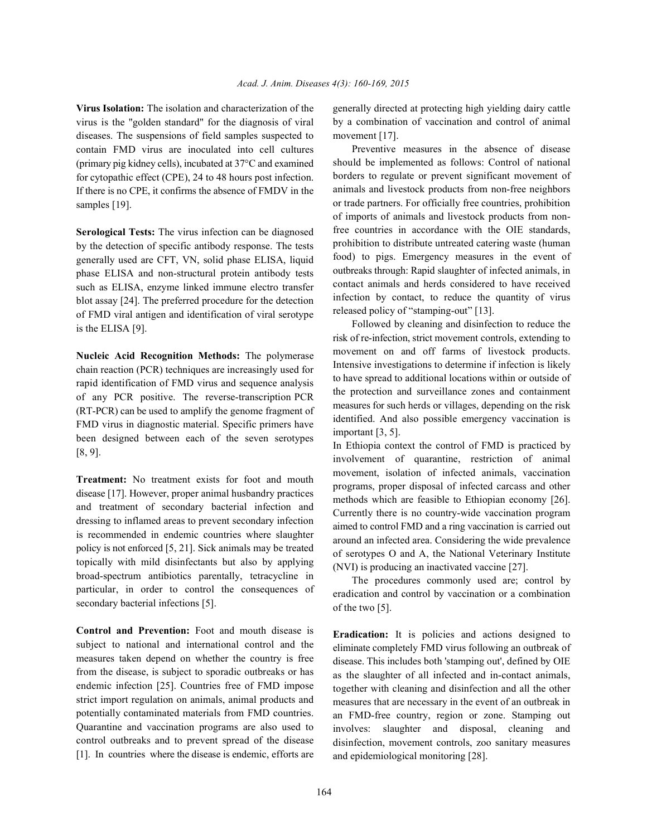virus is the "golden standard" for the diagnosis of viral diseases. The suspensions of field samples suspected to contain FMD virus are inoculated into cell cultures (primary pig kidney cells), incubated at 37°C and examined for cytopathic effect (CPE), 24 to 48 hours post infection. If there is no CPE, it confirms the absence of FMDV in the samples [19].

**Serological Tests:** The virus infection can be diagnosed by the detection of specific antibody response. The tests generally used are CFT, VN, solid phase ELISA, liquid phase ELISA and non-structural protein antibody tests such as ELISA, enzyme linked immune electro transfer blot assay [24]. The preferred procedure for the detection of FMD viral antigen and identification of viral serotype is the ELISA [9].

**Nucleic Acid Recognition Methods:** The polymerase chain reaction (PCR) techniques are increasingly used for rapid identification of FMD virus and sequence analysis of any PCR positive. The reverse-transcription PCR (RT-PCR) can be used to amplify the genome fragment of FMD virus in diagnostic material. Specific primers have been designed between each of the seven serotypes [8, 9].

**Treatment:** No treatment exists for foot and mouth disease [17]. However, proper animal husbandry practices and treatment of secondary bacterial infection and dressing to inflamed areas to prevent secondary infection is recommended in endemic countries where slaughter policy is not enforced [5, 21]. Sick animals may be treated topically with mild disinfectants but also by applying broad-spectrum antibiotics parentally, tetracycline in particular, in order to control the consequences of secondary bacterial infections [5].

**Control and Prevention:** Foot and mouth disease is subject to national and international control and the measures taken depend on whether the country is free from the disease, is subject to sporadic outbreaks or has endemic infection [25]. Countries free of FMD impose strict import regulation on animals, animal products and potentially contaminated materials from FMD countries. Quarantine and vaccination programs are also used to control outbreaks and to prevent spread of the disease [1]. In countries where the disease is endemic, efforts are

**Virus Isolation:** The isolation and characterization of the generally directed at protecting high yielding dairy cattle by a combination of vaccination and control of animal movement [17].

> Preventive measures in the absence of disease should be implemented as follows: Control of national borders to regulate or prevent significant movement of animals and livestock products from non-free neighbors or trade partners. For officially free countries, prohibition of imports of animals and livestock products from nonfree countries in accordance with the OIE standards, prohibition to distribute untreated catering waste (human food) to pigs. Emergency measures in the event of outbreaks through: Rapid slaughter of infected animals, in contact animals and herds considered to have received infection by contact, to reduce the quantity of virus released policy of "stamping-out" [13].

> Followed by cleaning and disinfection to reduce the risk of re-infection, strict movement controls, extending to movement on and off farms of livestock products. Intensive investigations to determine if infection is likely to have spread to additional locations within or outside of the protection and surveillance zones and containment measures for such herds or villages, depending on the risk identified. And also possible emergency vaccination is important [3, 5].

> In Ethiopia context the control of FMD is practiced by involvement of quarantine, restriction of animal movement, isolation of infected animals, vaccination programs, proper disposal of infected carcass and other methods which are feasible to Ethiopian economy [26]. Currently there is no country-wide vaccination program aimed to control FMD and a ring vaccination is carried out around an infected area. Considering the wide prevalence of serotypes O and A, the National Veterinary Institute (NVI) is producing an inactivated vaccine [27].

> The procedures commonly used are; control by eradication and control by vaccination or a combination of the two [5].

> **Eradication:** It is policies and actions designed to eliminate completely FMD virus following an outbreak of disease. This includes both 'stamping out', defined by OIE as the slaughter of all infected and in-contact animals, together with cleaning and disinfection and all the other measures that are necessary in the event of an outbreak in an FMD-free country, region or zone. Stamping out involves: slaughter and disposal, cleaning and disinfection, movement controls, zoo sanitary measures and epidemiological monitoring [28].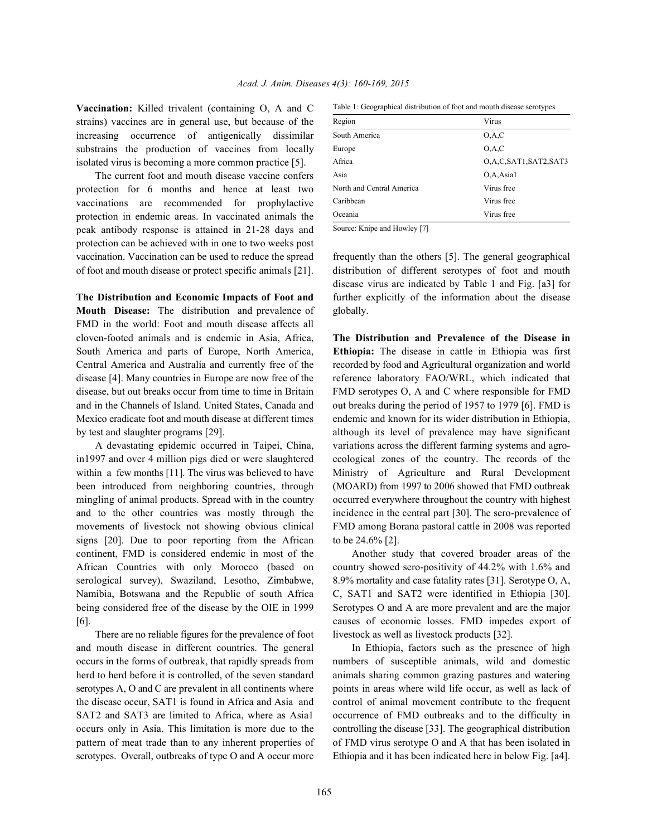**Vaccination:** Killed trivalent (containing O, A and C strains) vaccines are in general use, but because of the increasing occurrence of antigenically dissimilar substrains the production of vaccines from locally isolated virus is becoming a more common practice [5].

The current foot and mouth disease vaccine confers protection for 6 months and hence at least two vaccinations are recommended for prophylactive protection in endemic areas. In vaccinated animals the peak antibody response is attained in 21-28 days and protection can be achieved with in one to two weeks post vaccination. Vaccination can be used to reduce the spread frequently than the others [5]. The general geographical of foot and mouth disease or protect specific animals [21]. distribution of different serotypes of foot and mouth

**Mouth Disease:** The distribution and prevalence of globally. FMD in the world: Foot and mouth disease affects all cloven-footed animals and is endemic in Asia, Africa, **The Distribution and Prevalence of the Disease in** South America and parts of Europe, North America, **Ethiopia:** The disease in cattle in Ethiopia was first Central America and Australia and currently free of the recorded by food and Agricultural organization and world disease [4]. Many countries in Europe are now free of the reference laboratory FAO/WRL, which indicated that disease, but out breaks occur from time to time in Britain FMD serotypes O, A and C where responsible for FMD and in the Channels of Island. United States, Canada and out breaks during the period of 1957 to 1979 [6]. FMD is Mexico eradicate foot and mouth disease at different times endemic and known for its wider distribution in Ethiopia, by test and slaughter programs [29]. although its level of prevalence may have significant

in1997 and over 4 million pigs died or were slaughtered ecological zones of the country. The records of the within a few months [11]. The virus was believed to have Ministry of Agriculture and Rural Development been introduced from neighboring countries, through (MOARD) from 1997 to 2006 showed that FMD outbreak mingling of animal products. Spread with in the country occurred everywhere throughout the country with highest movements of livestock not showing obvious clinical FMD among Borana pastoral cattle in 2008 was reported signs [20]. Due to poor reporting from the African to be 24.6% [2]. continent, FMD is considered endemic in most of the Another study that covered broader areas of the African Countries with only Morocco (based on country showed sero-positivity of 44.2% with 1.6% and serological survey), Swaziland, Lesotho, Zimbabwe, 8.9% mortality and case fatality rates [31]. Serotype O, A, Namibia, Botswana and the Republic of south Africa C, SAT1 and SAT2 were identified in Ethiopia [30]. being considered free of the disease by the OIE in 1999 Serotypes O and A are more prevalent and are the major

There are no reliable figures for the prevalence of foot livestock as well as livestock products [32]. and mouth disease in different countries. The general In Ethiopia, factors such as the presence of high occurs in the forms of outbreak, that rapidly spreads from numbers of susceptible animals, wild and domestic herd to herd before it is controlled, of the seven standard animals sharing common grazing pastures and watering serotypes A, O and C are prevalent in all continents where points in areas where wild life occur, as well as lack of the disease occur, SAT1 is found in Africa and Asia and control of animal movement contribute to the frequent SAT2 and SAT3 are limited to Africa, where as Asia1 occurrence of FMD outbreaks and to the difficulty in occurs only in Asia. This limitation is more due to the controlling the disease [33]. The geographical distribution pattern of meat trade than to any inherent properties of of FMD virus serotype O and A that has been isolated in serotypes. Overall, outbreaks of type O and A occur more Ethiopia and it has been indicated here in below Fig. [a4].

Table 1: Geographical distribution of foot and mouth disease serotypes

| Region                                                    | Virus                |
|-----------------------------------------------------------|----------------------|
| South America                                             | O, A, C              |
| Europe                                                    | O.A.C                |
| Africa                                                    | O,A,C,SAT1,SAT2,SAT3 |
| Asia                                                      | O.A.Asial            |
| North and Central America                                 | Virus free           |
| Caribbean                                                 | Virus free           |
| Oceania                                                   | Virus free           |
| $\sim$ $\sim$<br>$1.77$ $1.77$<br>$\mathbf{v} \mathbf{v}$ |                      |

Source: Knipe and Howley [7]

**The Distribution and Economic Impacts of Foot and** further explicitly of the information about the disease disease virus are indicated by Table 1 and Fig. [a3] for

A devastating epidemic occurred in Taipei, China, variations across the different farming systems and agroand to the other countries was mostly through the incidence in the central part [30]. The sero-prevalence of

[6]. causes of economic losses. FMD impedes export of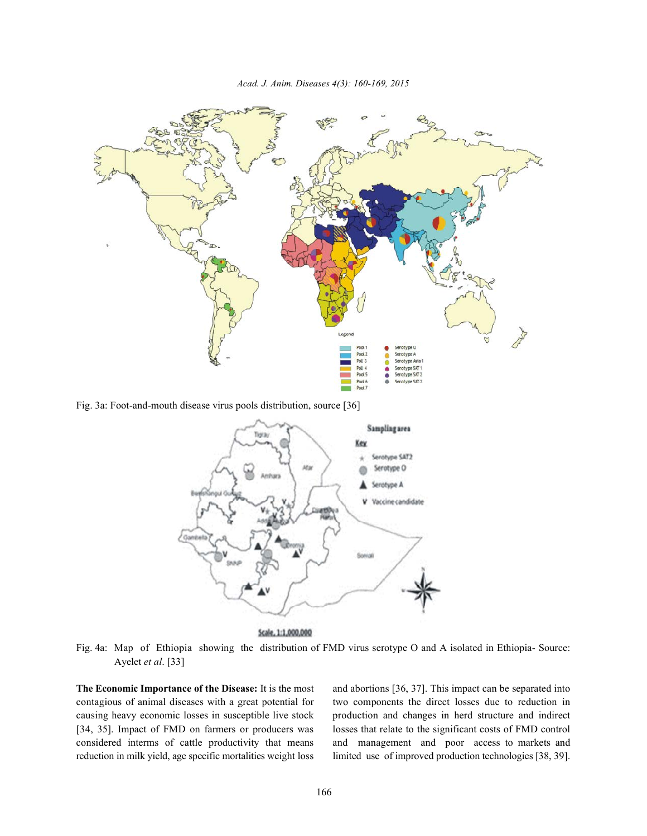

Fig. 3a: Foot-and-mouth disease virus pools distribution, source [36]



Scale, 1:1,000,000

Fig. 4a: Map of Ethiopia showing the distribution of FMD virus serotype O and A isolated in Ethiopia- Source: Ayelet *et al*. [33]

**The Economic Importance of the Disease:** It is the most and abortions [36, 37]. This impact can be separated into contagious of animal diseases with a great potential for two components the direct losses due to reduction in causing heavy economic losses in susceptible live stock production and changes in herd structure and indirect [34, 35]. Impact of FMD on farmers or producers was losses that relate to the significant costs of FMD control considered interms of cattle productivity that means and management and poor access to markets and reduction in milk yield, age specific mortalities weight loss limited use of improved production technologies [38, 39].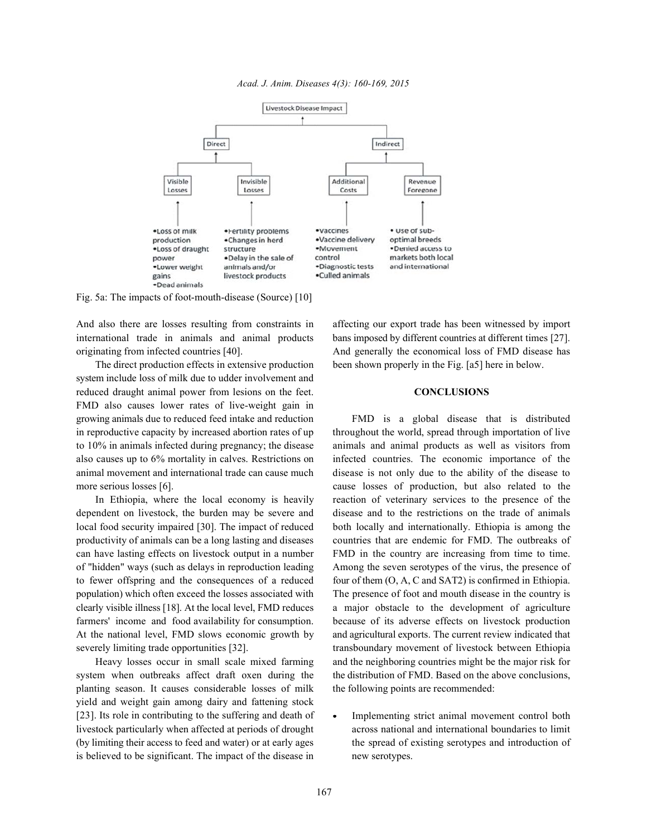

Fig. 5a: The impacts of foot-mouth-disease (Source) [10]

international trade in animals and animal products bans imposed by different countries at different times [27]. originating from infected countries [40]. And generally the economical loss of FMD disease has

system include loss of milk due to udder involvement and reduced draught animal power from lesions on the feet. **CONCLUSIONS** FMD also causes lower rates of live-weight gain in growing animals due to reduced feed intake and reduction FMD is a global disease that is distributed in reproductive capacity by increased abortion rates of up throughout the world, spread through importation of live to 10% in animals infected during pregnancy; the disease animals and animal products as well as visitors from also causes up to 6% mortality in calves. Restrictions on infected countries. The economic importance of the animal movement and international trade can cause much disease is not only due to the ability of the disease to more serious losses [6]. cause losses of production, but also related to the

dependent on livestock, the burden may be severe and disease and to the restrictions on the trade of animals local food security impaired [30]. The impact of reduced both locally and internationally. Ethiopia is among the productivity of animals can be a long lasting and diseases countries that are endemic for FMD. The outbreaks of can have lasting effects on livestock output in a number FMD in the country are increasing from time to time. of "hidden" ways (such as delays in reproduction leading Among the seven serotypes of the virus, the presence of to fewer offspring and the consequences of a reduced four of them (O, A, C and SAT2) is confirmed in Ethiopia. population) which often exceed the losses associated with The presence of foot and mouth disease in the country is clearly visible illness [18]. At the local level, FMD reduces a major obstacle to the development of agriculture farmers' income and food availability for consumption. because of its adverse effects on livestock production At the national level, FMD slows economic growth by and agricultural exports. The current review indicated that severely limiting trade opportunities [32]. transboundary movement of livestock between Ethiopia

system when outbreaks affect draft oxen during the the distribution of FMD. Based on the above conclusions, planting season. It causes considerable losses of milk the following points are recommended: yield and weight gain among dairy and fattening stock [23]. Its role in contributing to the suffering and death of  $\bullet$  Implementing strict animal movement control both is believed to be significant. The impact of the disease in new serotypes.

And also there are losses resulting from constraints in affecting our export trade has been witnessed by import The direct production effects in extensive production been shown properly in the Fig. [a5] here in below.

In Ethiopia, where the local economy is heavily reaction of veterinary services to the presence of the Heavy losses occur in small scale mixed farming and the neighboring countries might be the major risk for

livestock particularly when affected at periods of drought across national and international boundaries to limit (by limiting their access to feed and water) or at early ages the spread of existing serotypes and introduction of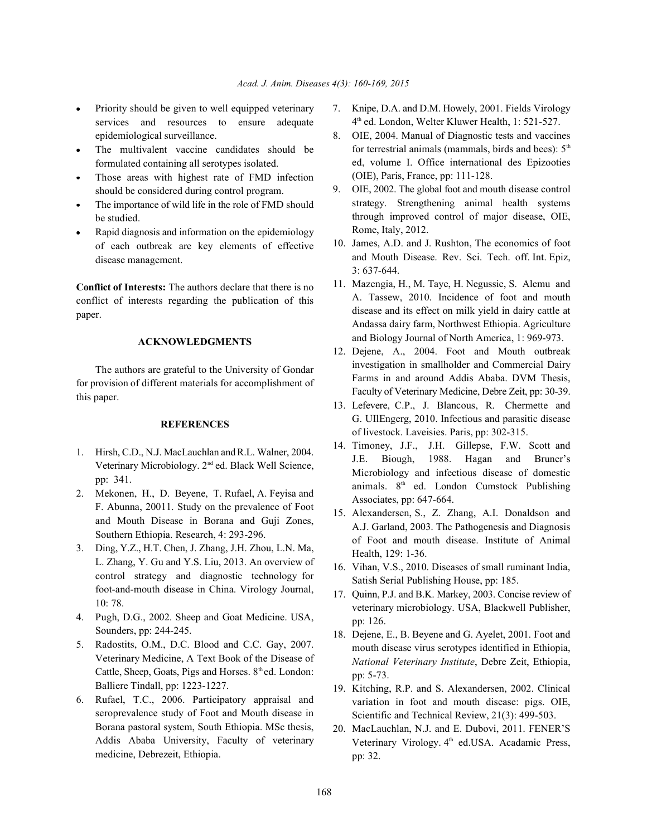- services and resources to ensure adequate epidemiological surveillance.
- The multivalent vaccine candidates should be formulated containing all serotypes isolated.
- Those areas with highest rate of FMD infection should be considered during control program.
- The importance of wild life in the role of FMD should be studied.
- Rapid diagnosis and information on the epidemiology of each outbreak are key elements of effective disease management.

**Conflict of Interests:** The authors declare that there is no conflict of interests regarding the publication of this paper.

### **ACKNOWLEDGMENTS**

The authors are grateful to the University of Gondar for provision of different materials for accomplishment of this paper.

## **REFERENCES**

- 1. Hirsh, C.D., N.J. MacLauchlan and R.L. Walner, 2004. Veterinary Microbiology. 2<sup>nd</sup> ed. Black Well Science, pp: 341.
- 2. Mekonen, H., D. Beyene, T. Rufael, A. Feyisa and F. Abunna, 20011. Study on the prevalence of Foot and Mouth Disease in Borana and Guji Zones, Southern Ethiopia. Research, 4: 293-296.
- 3. Ding, Y.Z., H.T. Chen, J. Zhang, J.H. Zhou, L.N. Ma, L. Zhang, Y. Gu and Y.S. Liu, 2013. An overview of control strategy and diagnostic technology for foot-and-mouth disease in China. Virology Journal, 10: 78.
- 4. Pugh, D.G., 2002. Sheep and Goat Medicine. USA, Sounders, pp: 244-245.
- 5. Radostits, O.M., D.C. Blood and C.C. Gay, 2007. Veterinary Medicine, A Text Book of the Disease of Cattle, Sheep, Goats, Pigs and Horses.  $8<sup>th</sup>$ ed. London: Balliere Tindall, pp: 1223-1227.
- 6. Rufael, T.C., 2006. Participatory appraisal and seroprevalence study of Foot and Mouth disease in Borana pastoral system, South Ethiopia. MSc thesis, Addis Ababa University, Faculty of veterinary medicine, Debrezeit, Ethiopia.
- Priority should be given to well equipped veterinary 7. Knipe, D.A. and D.M. Howely, 2001. Fields Virology 4<sup>th</sup> ed. London, Welter Kluwer Health, 1: 521-527.
	- 8. OIE, 2004. Manual of Diagnostic tests and vaccines for terrestrial animals (mammals, birds and bees):  $5<sup>th</sup>$ ed, volume I. Office international des Epizooties (OIE), Paris, France, pp: 111-128.
	- 9. OIE, 2002. The global foot and mouth disease control strategy. Strengthening animal health systems through improved control of major disease, OIE, Rome, Italy, 2012.
	- 10. James, A.D. and J. Rushton, The economics of foot and Mouth Disease. Rev. Sci. Tech. off. Int. Epiz, 3: 637-644.
	- 11. Mazengia, H., M. Taye, H. Negussie, S. Alemu and A. Tassew, 2010. Incidence of foot and mouth disease and its effect on milk yield in dairy cattle at Andassa dairy farm, Northwest Ethiopia. Agriculture and Biology Journal of North America, 1: 969-973.
	- 12. Dejene, A., 2004. Foot and Mouth outbreak investigation in smallholder and Commercial Dairy Farms in and around Addis Ababa. DVM Thesis, Faculty of Veterinary Medicine, Debre Zeit, pp: 30-39.
	- 13. Lefevere, C.P., J. Blancous, R. Chermette and G. UIlEngerg, 2010. Infectious and parasitic disease of livestock. Laveisies. Paris, pp: 302-315.
	- 14. Timoney, J.F., J.H. Gillepse, F.W. Scott and J.E. Biough, 1988. Hagan and Bruner's Microbiology and infectious disease of domestic animals.  $8<sup>th</sup>$  ed. London Cumstock Publishing Associates, pp: 647-664.
	- 15. Alexandersen, S., Z. Zhang, A.I. Donaldson and A.J. Garland, 2003. The Pathogenesis and Diagnosis of Foot and mouth disease. Institute of Animal Health, 129: 1-36.
	- 16. Vihan, V.S., 2010. Diseases of small ruminant India, Satish Serial Publishing House, pp: 185.
	- 17. Quinn, P.J. and B.K. Markey, 2003. Concise review of veterinary microbiology. USA, Blackwell Publisher, pp: 126.
	- 18. Dejene, E., B. Beyene and G. Ayelet, 2001. Foot and mouth disease virus serotypes identified in Ethiopia, *National Veterinary Institute*, Debre Zeit, Ethiopia, pp: 5-73.
	- 19. Kitching, R.P. and S. Alexandersen, 2002. Clinical variation in foot and mouth disease: pigs. OIE, Scientific and Technical Review, 21(3): 499-503.
	- 20. MacLauchlan, N.J. and E. Dubovi, 2011. FENER'S Veterinary Virology. 4<sup>th</sup> ed.USA. Acadamic Press, pp: 32.